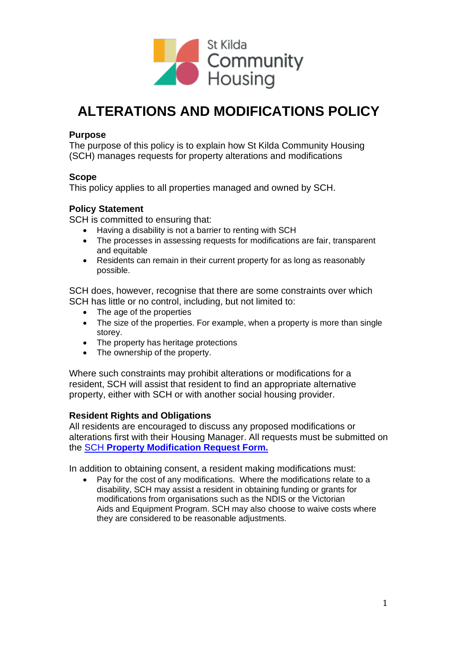

# **ALTERATIONS AND MODIFICATIONS POLICY**

## **Purpose**

The purpose of this policy is to explain how St Kilda Community Housing (SCH) manages requests for property alterations and modifications

### **Scope**

This policy applies to all properties managed and owned by SCH.

### **Policy Statement**

SCH is committed to ensuring that:

- Having a disability is not a barrier to renting with SCH
- The processes in assessing requests for modifications are fair, transparent and equitable
- Residents can remain in their current property for as long as reasonably possible.

SCH does, however, recognise that there are some constraints over which SCH has little or no control, including, but not limited to:

- The age of the properties
- The size of the properties. For example, when a property is more than single storey.
- The property has heritage protections
- The ownership of the property.

Where such constraints may prohibit alterations or modifications for a resident, SCH will assist that resident to find an appropriate alternative property, either with SCH or with another social housing provider.

### **Resident Rights and Obligations**

All residents are encouraged to discuss any proposed modifications or alterations first with their Housing Manager. All requests must be submitted on the SCH **[Property Modification Request Form.](https://stkch.org.au/wp-content/uploads/2022/03/Property-Modification-Application.pdf)**

In addition to obtaining consent, a resident making modifications must:

• Pay for the cost of any modifications. Where the modifications relate to a disability, SCH may assist a resident in obtaining funding or grants for modifications from organisations such as the NDIS or the Victorian Aids and Equipment Program. SCH may also choose to waive costs where they are considered to be reasonable adjustments.